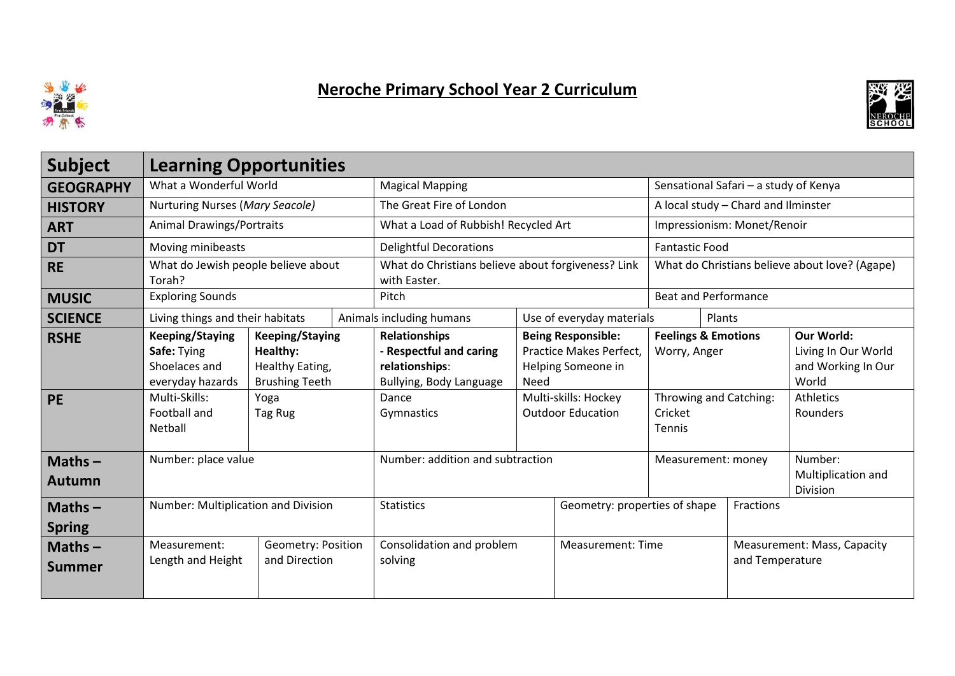

## Neroche Primary School Year 2 Curriculum



| <b>Subject</b>             | <b>Learning Opportunities</b>                                                                                          |                                                                                                   |                                  |                                                                                                                     |                               |                                                                                                                                |                                                                                               |                                           |                             |                                                                                                  |
|----------------------------|------------------------------------------------------------------------------------------------------------------------|---------------------------------------------------------------------------------------------------|----------------------------------|---------------------------------------------------------------------------------------------------------------------|-------------------------------|--------------------------------------------------------------------------------------------------------------------------------|-----------------------------------------------------------------------------------------------|-------------------------------------------|-----------------------------|--------------------------------------------------------------------------------------------------|
| <b>GEOGRAPHY</b>           | What a Wonderful World                                                                                                 |                                                                                                   |                                  | <b>Magical Mapping</b>                                                                                              |                               |                                                                                                                                | Sensational Safari - a study of Kenya                                                         |                                           |                             |                                                                                                  |
| <b>HISTORY</b>             | Nurturing Nurses (Mary Seacole)                                                                                        |                                                                                                   |                                  | The Great Fire of London                                                                                            |                               |                                                                                                                                | A local study - Chard and Ilminster                                                           |                                           |                             |                                                                                                  |
| <b>ART</b>                 | <b>Animal Drawings/Portraits</b>                                                                                       |                                                                                                   |                                  | What a Load of Rubbish! Recycled Art                                                                                |                               |                                                                                                                                | Impressionism: Monet/Renoir                                                                   |                                           |                             |                                                                                                  |
| <b>DT</b>                  | Moving minibeasts                                                                                                      |                                                                                                   |                                  | <b>Delightful Decorations</b>                                                                                       |                               |                                                                                                                                | <b>Fantastic Food</b>                                                                         |                                           |                             |                                                                                                  |
| <b>RE</b>                  | What do Jewish people believe about<br>Torah?                                                                          |                                                                                                   |                                  | What do Christians believe about forgiveness? Link<br>with Easter.                                                  |                               |                                                                                                                                | What do Christians believe about love? (Agape)                                                |                                           |                             |                                                                                                  |
| <b>MUSIC</b>               | <b>Exploring Sounds</b>                                                                                                |                                                                                                   |                                  | Pitch                                                                                                               |                               |                                                                                                                                | <b>Beat and Performance</b>                                                                   |                                           |                             |                                                                                                  |
| <b>SCIENCE</b>             |                                                                                                                        | Living things and their habitats                                                                  |                                  | Animals including humans                                                                                            | Use of everyday materials     |                                                                                                                                |                                                                                               | Plants                                    |                             |                                                                                                  |
| <b>RSHE</b><br><b>PE</b>   | <b>Keeping/Staying</b><br>Safe: Tying<br>Shoelaces and<br>everyday hazards<br>Multi-Skills:<br>Football and<br>Netball | <b>Keeping/Staying</b><br>Healthy:<br>Healthy Eating,<br><b>Brushing Teeth</b><br>Yoga<br>Tag Rug |                                  | <b>Relationships</b><br>- Respectful and caring<br>relationships:<br>Bullying, Body Language<br>Dance<br>Gymnastics | Need                          | <b>Being Responsible:</b><br>Practice Makes Perfect,<br>Helping Someone in<br>Multi-skills: Hockey<br><b>Outdoor Education</b> | <b>Feelings &amp; Emotions</b><br>Worry, Anger<br>Throwing and Catching:<br>Cricket<br>Tennis |                                           |                             | Our World:<br>Living In Our World<br>and Working In Our<br>World<br><b>Athletics</b><br>Rounders |
| $Maths -$<br><b>Autumn</b> | Number: place value                                                                                                    |                                                                                                   | Number: addition and subtraction |                                                                                                                     | Measurement: money            |                                                                                                                                |                                                                                               | Number:<br>Multiplication and<br>Division |                             |                                                                                                  |
| Maths $-$<br><b>Spring</b> | Number: Multiplication and Division                                                                                    |                                                                                                   | <b>Statistics</b>                |                                                                                                                     | Geometry: properties of shape |                                                                                                                                |                                                                                               | Fractions                                 |                             |                                                                                                  |
| Maths $-$<br><b>Summer</b> | Measurement:<br>Length and Height                                                                                      | Geometry: Position<br>and Direction                                                               |                                  | Consolidation and problem<br>solving                                                                                |                               | <b>Measurement: Time</b>                                                                                                       | and Temperature                                                                               |                                           | Measurement: Mass, Capacity |                                                                                                  |